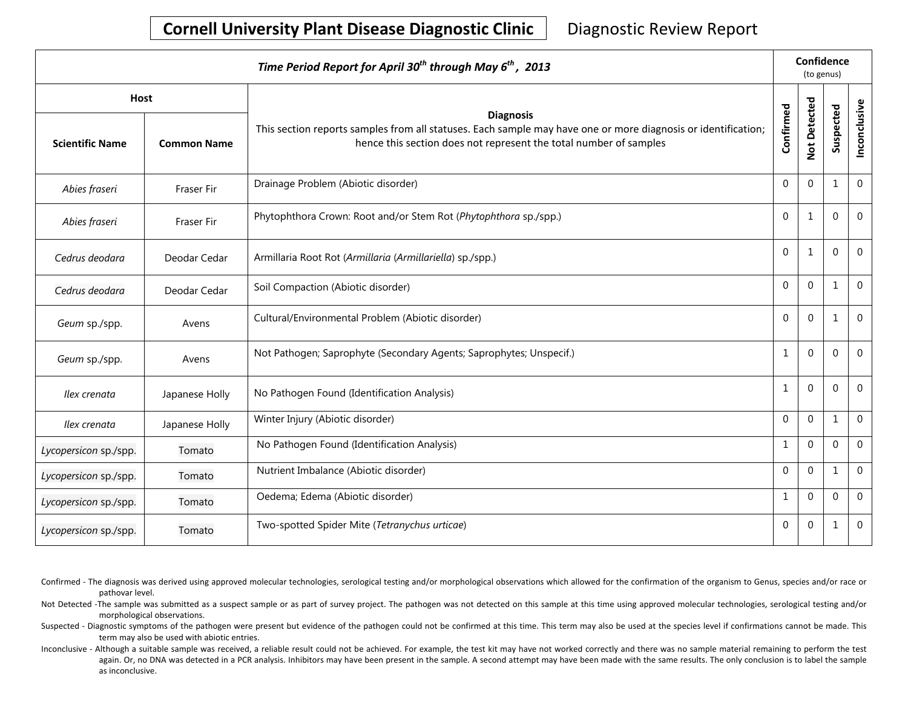## **Cornell University Plant Disease Diagnostic Clinic** | Diagnostic Review Report

| Time Period Report for April 30 <sup>th</sup> through May 6 <sup>th</sup> , 2013 |                    |                                                                                                                                                                                                        |                |                | Confidence<br>(to genus) |                  |  |  |
|----------------------------------------------------------------------------------|--------------------|--------------------------------------------------------------------------------------------------------------------------------------------------------------------------------------------------------|----------------|----------------|--------------------------|------------------|--|--|
| Host                                                                             |                    |                                                                                                                                                                                                        |                |                |                          |                  |  |  |
| <b>Scientific Name</b>                                                           | <b>Common Name</b> | <b>Diagnosis</b><br>This section reports samples from all statuses. Each sample may have one or more diagnosis or identification;<br>hence this section does not represent the total number of samples | Confirmed      | Not Detected   | Suspected                | Inconclusive     |  |  |
| Abies fraseri                                                                    | Fraser Fir         | Drainage Problem (Abiotic disorder)                                                                                                                                                                    | $\Omega$       | $\overline{0}$ | 1                        | $\boldsymbol{0}$ |  |  |
| Abies fraseri                                                                    | Fraser Fir         | Phytophthora Crown: Root and/or Stem Rot (Phytophthora sp./spp.)                                                                                                                                       | $\Omega$       | $\mathbf{1}$   | $\Omega$                 | $\Omega$         |  |  |
| Cedrus deodara                                                                   | Deodar Cedar       | Armillaria Root Rot (Armillaria (Armillariella) sp./spp.)                                                                                                                                              | $\overline{0}$ | $\mathbf{1}$   | $\mathbf 0$              | $\mathbf 0$      |  |  |
| Cedrus deodara                                                                   | Deodar Cedar       | Soil Compaction (Abiotic disorder)                                                                                                                                                                     | $\Omega$       | $\mathbf 0$    | $\mathbf{1}$             | $\mathbf 0$      |  |  |
| Geum sp./spp.                                                                    | Avens              | Cultural/Environmental Problem (Abiotic disorder)                                                                                                                                                      | $\mathbf 0$    | 0              | $\mathbf{1}$             | $\mathbf 0$      |  |  |
| Geum sp./spp.                                                                    | Avens              | Not Pathogen; Saprophyte (Secondary Agents; Saprophytes; Unspecif.)                                                                                                                                    | 1              | $\mathbf{0}$   | $\mathbf 0$              | $\mathbf 0$      |  |  |
| Ilex crenata                                                                     | Japanese Holly     | No Pathogen Found (Identification Analysis)                                                                                                                                                            | 1              | 0              | $\Omega$                 | $\mathbf{0}$     |  |  |
| Ilex crenata                                                                     | Japanese Holly     | Winter Injury (Abiotic disorder)                                                                                                                                                                       | $\Omega$       | $\mathbf 0$    | $\mathbf{1}$             | $\overline{0}$   |  |  |
| Lycopersicon sp./spp.                                                            | Tomato             | No Pathogen Found (Identification Analysis)                                                                                                                                                            | 1              | $\mathbf 0$    | $\overline{0}$           | $\mathbf 0$      |  |  |
| Lycopersicon sp./spp.                                                            | Tomato             | Nutrient Imbalance (Abiotic disorder)                                                                                                                                                                  | $\overline{0}$ | $\mathbf 0$    | $\mathbf{1}$             | $\mathbf 0$      |  |  |
| Lycopersicon sp./spp.                                                            | Tomato             | Oedema; Edema (Abiotic disorder)                                                                                                                                                                       | 1              | $\overline{0}$ | $\Omega$                 | $\mathbf{0}$     |  |  |
| Lycopersicon sp./spp.                                                            | Tomato             | Two-spotted Spider Mite (Tetranychus urticae)                                                                                                                                                          | $\mathbf 0$    | 0              | $\mathbf{1}$             | $\boldsymbol{0}$ |  |  |

- Confirmed The diagnosis was derived using approved molecular technologies, serological testing and/or morphological observations which allowed for the confirmation of the organism to Genus, species and/or race or pathovar level.
- Not Detected -The sample was submitted as a suspect sample or as part of survey project. The pathogen was not detected on this sample at this time using approved molecular technologies, serological testing and/or morphological observations.
- Suspected Diagnostic symptoms of the pathogen were present but evidence of the pathogen could not be confirmed at this time. This term may also be used at the species level if confirmations cannot be made. This term may also be used with abiotic entries.
- Inconclusive Although a suitable sample was received, a reliable result could not be achieved. For example, the test kit may have not worked correctly and there was no sample material remaining to perform the test again. Or, no DNA was detected in a PCR analysis. Inhibitors may have been present in the sample. A second attempt may have been made with the same results. The only conclusion is to label the sample as inconclusive.